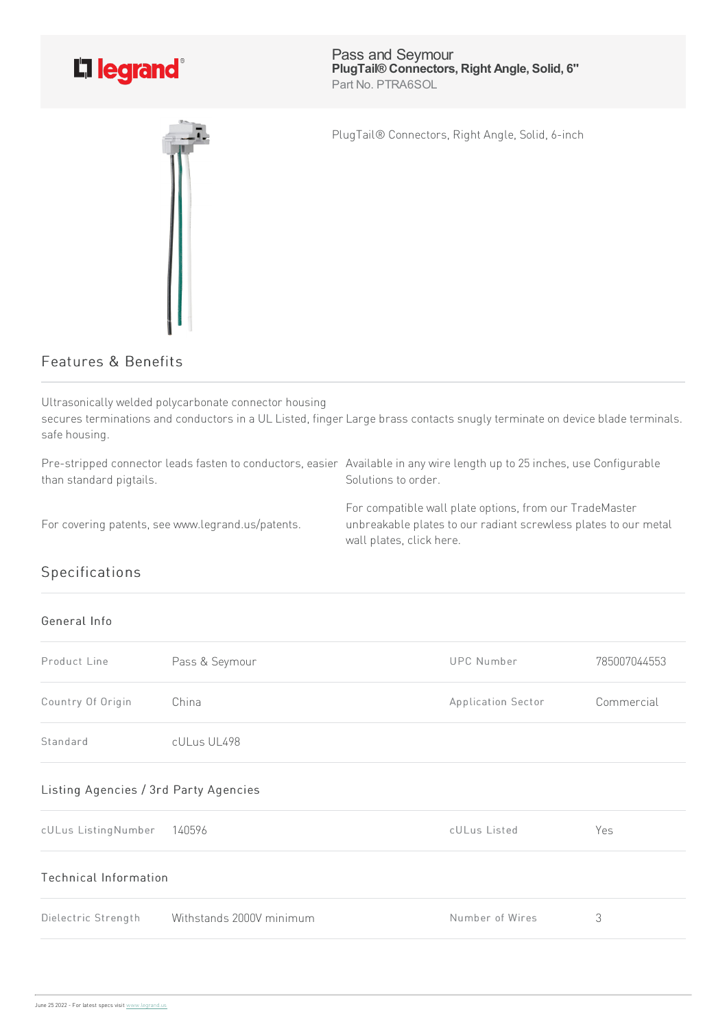

Pass and Seymour **PlugTail® Connectors, Right Angle, Solid, 6''** Part No. PTRA6SOL

PlugTail® Connectors, Right Angle, Solid, 6-inch

## Features & Benefits

Ultrasonically welded polycarbonate connector housing secures terminations and conductors in a UL Listed, finger Large brass contacts snugly terminate on device blade terminals. safe housing.

Pre-stripped connector leads fasten to conductors, easier Available in any wire length up to 25 inches, use Configurable than standard pigtails. Solutions to order.

For covering patents, see www.legrand.us/patents.

For compatible wall plate options, from our TradeMaster unbreakable plates to our radiant screwless plates to our metal wall plates, click here.

## Specifications

## General Info

| Product Line                          | Pass & Seymour           | <b>UPC Number</b>  | 785007044553 |  |
|---------------------------------------|--------------------------|--------------------|--------------|--|
| Country Of Origin                     | China                    | Application Sector | Commercial   |  |
| Standard                              | cULus UL498              |                    |              |  |
| Listing Agencies / 3rd Party Agencies |                          |                    |              |  |
| cULus ListingNumber                   | 140596                   | cULus Listed       | Yes          |  |
| Technical Information                 |                          |                    |              |  |
| Dielectric Strength                   | Withstands 2000V minimum | Number of Wires    | 3            |  |